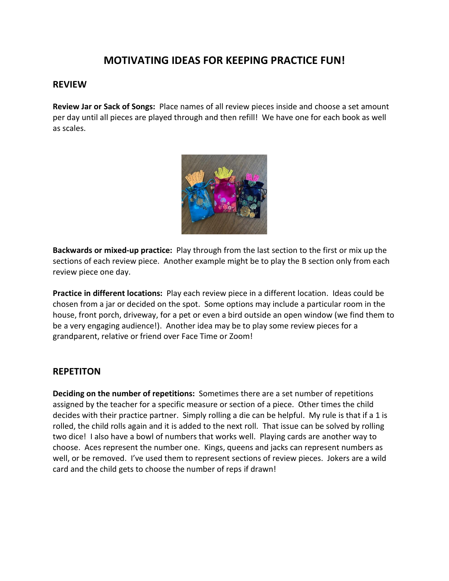# **MOTIVATING IDEAS FOR KEEPING PRACTICE FUN!**

### **REVIEW**

**Review Jar or Sack of Songs:** Place names of all review pieces inside and choose a set amount per day until all pieces are played through and then refill! We have one for each book as well as scales.



**Backwards or mixed-up practice:** Play through from the last section to the first or mix up the sections of each review piece. Another example might be to play the B section only from each review piece one day.

**Practice in different locations:** Play each review piece in a different location. Ideas could be chosen from a jar or decided on the spot. Some options may include a particular room in the house, front porch, driveway, for a pet or even a bird outside an open window (we find them to be a very engaging audience!). Another idea may be to play some review pieces for a grandparent, relative or friend over Face Time or Zoom!

### **REPETITON**

**Deciding on the number of repetitions:** Sometimes there are a set number of repetitions assigned by the teacher for a specific measure or section of a piece. Other times the child decides with their practice partner. Simply rolling a die can be helpful. My rule is that if a 1 is rolled, the child rolls again and it is added to the next roll. That issue can be solved by rolling two dice! I also have a bowl of numbers that works well. Playing cards are another way to choose. Aces represent the number one. Kings, queens and jacks can represent numbers as well, or be removed. I've used them to represent sections of review pieces. Jokers are a wild card and the child gets to choose the number of reps if drawn!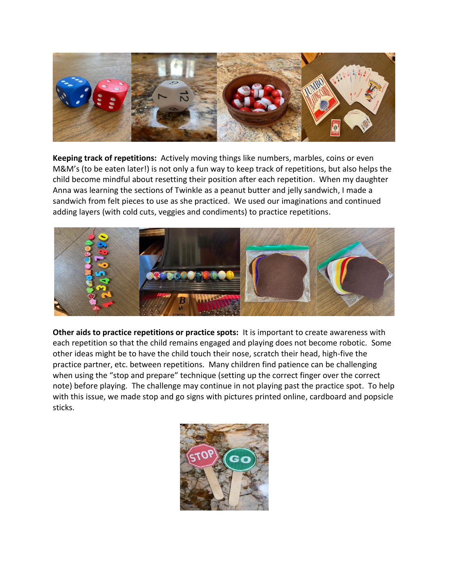

**Keeping track of repetitions:** Actively moving things like numbers, marbles, coins or even M&M's (to be eaten later!) is not only a fun way to keep track of repetitions, but also helps the child become mindful about resetting their position after each repetition. When my daughter Anna was learning the sections of Twinkle as a peanut butter and jelly sandwich, I made a sandwich from felt pieces to use as she practiced. We used our imaginations and continued adding layers (with cold cuts, veggies and condiments) to practice repetitions.



**Other aids to practice repetitions or practice spots:** It is important to create awareness with each repetition so that the child remains engaged and playing does not become robotic. Some other ideas might be to have the child touch their nose, scratch their head, high-five the practice partner, etc. between repetitions. Many children find patience can be challenging when using the "stop and prepare" technique (setting up the correct finger over the correct note) before playing. The challenge may continue in not playing past the practice spot. To help with this issue, we made stop and go signs with pictures printed online, cardboard and popsicle sticks.

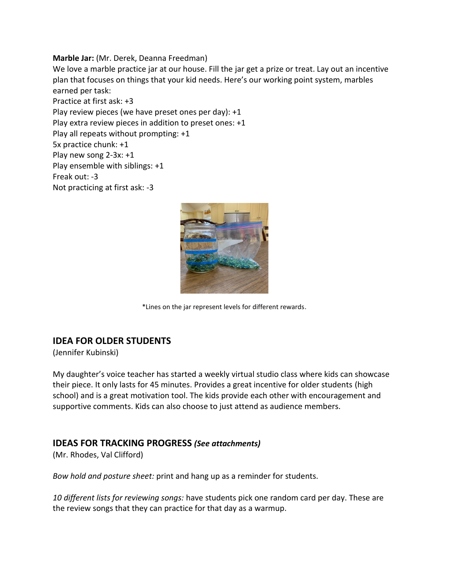#### **Marble Jar:** (Mr. Derek, Deanna Freedman)

We love a marble practice jar at our house. Fill the jar get a prize or treat. Lay out an incentive plan that focuses on things that your kid needs. Here's our working point system, marbles earned per task:

Practice at first ask: +3 Play review pieces (we have preset ones per day): +1 Play extra review pieces in addition to preset ones: +1 Play all repeats without prompting: +1 5x practice chunk: +1 Play new song 2-3x: +1 Play ensemble with siblings: +1 Freak out: -3 Not practicing at first ask: -3



\*Lines on the jar represent levels for different rewards.

# **IDEA FOR OLDER STUDENTS**

(Jennifer Kubinski)

My daughter's voice teacher has started a weekly virtual studio class where kids can showcase their piece. It only lasts for 45 minutes. Provides a great incentive for older students (high school) and is a great motivation tool. The kids provide each other with encouragement and supportive comments. Kids can also choose to just attend as audience members.

# **IDEAS FOR TRACKING PROGRESS** *(See attachments)*

(Mr. Rhodes, Val Clifford)

*Bow hold and posture sheet:* print and hang up as a reminder for students.

*10 different lists for reviewing songs:* have students pick one random card per day. These are the review songs that they can practice for that day as a warmup.